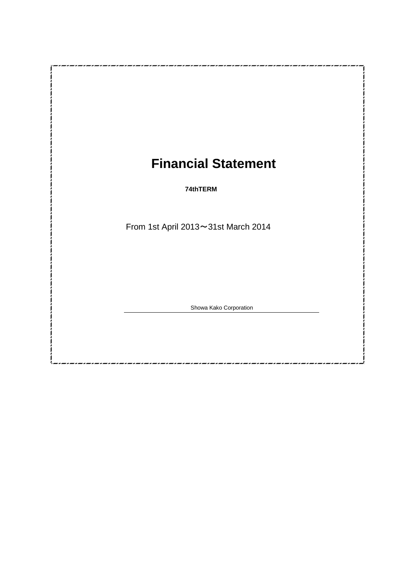# **Financial Statement**

-*,\_,\_,\_,\_,\_,\_,\_,\_,\_,\_,\_,\_,\_,\_,\_*,

**74thTERM**

From 1st April 2013~31st March 2014

Showa Kako Corporation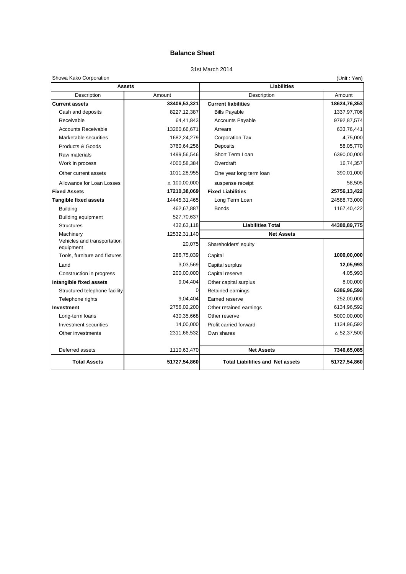## **Balance Sheet**

### 31st March 2014

#### Showa Kako Corporation

| Showa Kako Corporation                   |                                |                                         | (Unit: Yen)        |  |
|------------------------------------------|--------------------------------|-----------------------------------------|--------------------|--|
|                                          | <b>Assets</b>                  | Liabilities                             |                    |  |
| Description                              | Amount                         | Description                             | Amount             |  |
| <b>Current assets</b>                    | 33406,53,321                   | <b>Current liabilities</b>              | 18624,76,353       |  |
| Cash and deposits                        | 8227, 12, 387                  | <b>Bills Payable</b>                    | 1337,97,706        |  |
| Receivable                               | 64,41,843                      | <b>Accounts Payable</b>                 | 9792,87,574        |  |
| <b>Accounts Receivable</b>               | 13260,66,671                   | Arrears                                 | 633,76,441         |  |
| Marketable securities                    | 1682,24,279                    | <b>Corporation Tax</b>                  | 4,75,000           |  |
| Products & Goods                         | 3760,64,256                    | Deposits                                | 58,05,770          |  |
| Raw materials                            | 1499,56,546                    | Short Term Loan                         | 6390,00,000        |  |
| Work in process                          | 4000,58,384                    | Overdraft                               | 16,74,357          |  |
| Other current assets                     | 1011,28,955                    | One year long term loan                 | 390,01,000         |  |
| Allowance for Loan Losses                | △ 100,00,000                   | suspense receipt                        | 58,505             |  |
| <b>Fixed Assets</b>                      | 17210,38,069                   | <b>Fixed Liabilities</b>                | 25756,13,422       |  |
| <b>Tangible fixed assets</b>             | Long Term Loan<br>14445,31,465 |                                         | 24588,73,000       |  |
| <b>Building</b>                          | 462,67,887                     | <b>Bonds</b>                            | 1167,40,422        |  |
| <b>Building equipment</b>                | 527,70,637                     |                                         |                    |  |
| <b>Structures</b>                        | 432,63,118                     | <b>Liabilities Total</b>                | 44380,89,775       |  |
| Machinery                                | 12532,31,140                   | <b>Net Assets</b>                       |                    |  |
| Vehicles and transportation<br>equipment | 20,075                         | Shareholders' equity                    |                    |  |
| Tools, furniture and fixtures            | 286,75,039                     | Capital                                 | 1000,00,000        |  |
| Land                                     | 3,03,569                       | Capital surplus                         | 12,05,993          |  |
| Construction in progress                 | 200,00,000                     | Capital reserve                         | 4,05,993           |  |
| Intangible fixed assets                  | 9,04,404                       | Other capital surplus                   | 8,00,000           |  |
| Structured telephone facility            | 0                              | Retained earnings                       | 6386,96,592        |  |
| Telephone rights                         | 9,04,404                       | Earned reserve                          | 252,00,000         |  |
| Investment                               | 2756,02,200                    | Other retained earnings                 | 6134,96,592        |  |
| Long-term loans                          | 430,35,668                     | Other reserve                           | 5000,00,000        |  |
| Investment securities                    | 14,00,000                      | Profit carried forward                  | 1134,96,592        |  |
| Other investments                        | 2311,66,532                    | Own shares                              | $\Delta$ 52,37,500 |  |
| Deferred assets                          | 1110,63,470                    | <b>Net Assets</b>                       | 7346,65,085        |  |
| <b>Total Assets</b>                      | 51727,54,860                   | <b>Total Liabilities and Net assets</b> | 51727,54,860       |  |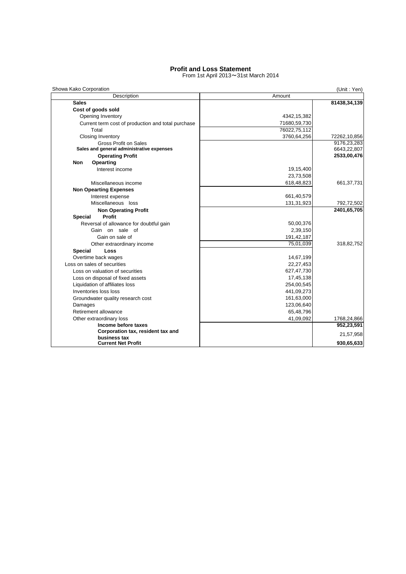#### **Profit and Loss Statement**

From 1st April 2013~31st March 2014

| Description                                        | Amount       | (Unit: Yen)  |  |  |
|----------------------------------------------------|--------------|--------------|--|--|
| <b>Sales</b>                                       |              | 81438,34,139 |  |  |
| Cost of goods sold                                 |              |              |  |  |
| Opening Inventory                                  | 4342,15,382  |              |  |  |
| Current term cost of production and total purchase | 71680,59,730 |              |  |  |
| Total                                              | 76022,75,112 |              |  |  |
| <b>Closing Inventory</b>                           | 3760,64,256  | 72262,10,856 |  |  |
| Gross Profit on Sales                              |              | 9176,23,283  |  |  |
| Sales and general administrative expenses          |              | 6643,22,807  |  |  |
| <b>Operating Profit</b>                            |              | 2533,00,476  |  |  |
| Opearting<br>Non                                   |              |              |  |  |
| Interest income                                    | 19,15,400    |              |  |  |
|                                                    | 23,73,508    |              |  |  |
| Miscellaneous income                               | 618,48,823   | 661, 37, 731 |  |  |
| <b>Non Opearting Expenses</b>                      |              |              |  |  |
| Interest expense                                   | 661,40,579   |              |  |  |
| Miscellaneous loss                                 | 131,31,923   | 792,72,502   |  |  |
| <b>Non Operating Profit</b>                        |              | 2401,65,705  |  |  |
| Profit<br><b>Special</b>                           |              |              |  |  |
| Reversal of allowance for doubtful gain            | 50,00,376    |              |  |  |
| Gain on sale of                                    | 2,39,150     |              |  |  |
| Gain on sale of                                    | 191,42,187   |              |  |  |
| Other extraordinary income                         | 75,01,039    | 318,82,752   |  |  |
| Loss<br><b>Special</b>                             |              |              |  |  |
| Overtime back wages                                | 14,67,199    |              |  |  |
| Loss on sales of securities                        | 22,27,453    |              |  |  |
| Loss on valuation of securities                    | 627,47,730   |              |  |  |
| Loss on disposal of fixed assets                   | 17,45,138    |              |  |  |
| Liquidation of affiliates loss                     | 254,00,545   |              |  |  |
| Inventories loss loss                              | 441,09,273   |              |  |  |
| Groundwater quality research cost                  | 161,63,000   |              |  |  |
| Damages                                            | 123,06,640   |              |  |  |
| Retirement allowance                               | 65,48,796    |              |  |  |
| Other extraordinary loss                           | 41,09,092    | 1768,24,866  |  |  |
| Income before taxes                                |              | 952,23,591   |  |  |
| Corporation tax, resident tax and<br>business tax  |              | 21,57,958    |  |  |
| <b>Current Net Profit</b>                          |              | 930,65,633   |  |  |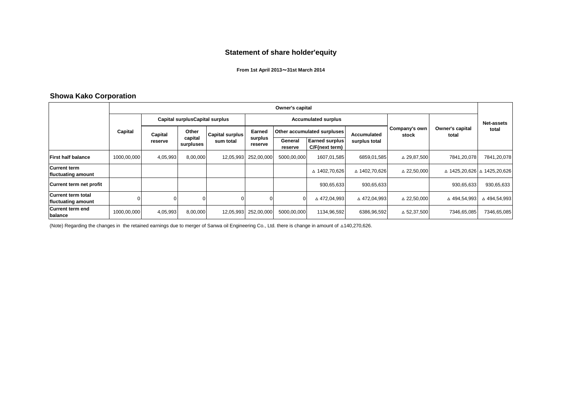## **Statement of share holder'equity**

#### **From 1st April 2013**~**31st March 2014**

## **Showa Kako Corporation**

|                                                 | Owner's capital |                                 |                      |           |                            |                    |                                  |               |                              |                        |                                 |       |
|-------------------------------------------------|-----------------|---------------------------------|----------------------|-----------|----------------------------|--------------------|----------------------------------|---------------|------------------------------|------------------------|---------------------------------|-------|
|                                                 |                 | Capital surplus Capital surplus |                      |           | <b>Accumulated surplus</b> |                    |                                  |               |                              | <b>Net-assets</b>      |                                 |       |
|                                                 | Capital         |                                 | Capital              | Other     | Capital surplus            | Earned             | Other accumulated surpluses      |               | Accumulated<br>surplus total | Company's own<br>stock | <b>Owner's capital</b><br>total | total |
|                                                 |                 | reserve                         | capital<br>surpluses | sum total | surplus<br>reserve         | General<br>reserve | Earned surplus<br>C/F(next term) |               |                              |                        |                                 |       |
| <b>First half balance</b>                       | 1000,00,000     | 4,05,993                        | 8,00,000             | 12,05,993 | 252,00,000                 | 5000,00,000        | 1607,01,585                      | 6859,01,585   | △ 29,87,500                  | 7841,20,078            | 7841,20,078                     |       |
| <b>Current term</b><br>fluctuating amount       |                 |                                 |                      |           |                            |                    | △ 1402,70,626                    | △ 1402,70,626 | △ 22,50,000                  |                        | ∆ 1425,20,626 ∆ 1425,20,626     |       |
| Current term net profit                         |                 |                                 |                      |           |                            |                    | 930,65,633                       | 930,65,633    |                              | 930,65,633             | 930,65,633                      |       |
| <b>Current term total</b><br>fluctuating amount |                 |                                 |                      |           |                            |                    | △472,04,993                      | △ 472,04,993  | △ 22,50,000                  | △ 494,54,993           | △ 494,54,993                    |       |
| <b>Current term end</b><br>balance              | 1000,00,000     | 4,05,993                        | 8,00,000             | 12,05,993 | 252,00,000                 | 5000,00,000        | 1134,96,592                      | 6386,96,592   | △ 52,37,500                  | 7346,65,085            | 7346,65,085                     |       |

(Note) Regarding the changes in the retained earnings due to merger of Sanwa oil Engineering Co., Ltd. there is change in amount of △140,270,626.